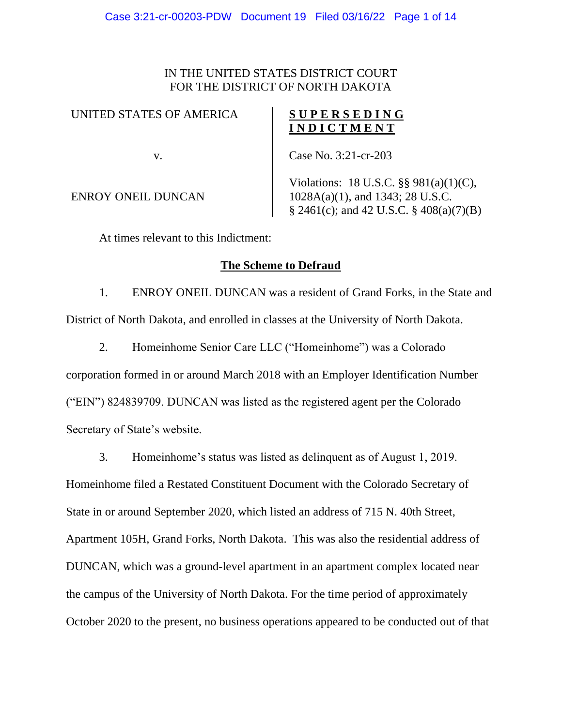### IN THE UNITED STATES DISTRICT COURT FOR THE DISTRICT OF NORTH DAKOTA

#### UNITED STATES OF AMERICA

v.

## **S U P E R S E D I N G I N D I C T M E N T**

Case No. 3:21-cr-203

ENROY ONEIL DUNCAN

Violations: 18 U.S.C. §§ 981(a)(1)(C), 1028A(a)(1), and 1343; 28 U.S.C. § 2461(c); and 42 U.S.C. § 408(a)(7)(B)

At times relevant to this Indictment:

## **The Scheme to Defraud**

1. ENROY ONEIL DUNCAN was a resident of Grand Forks, in the State and District of North Dakota, and enrolled in classes at the University of North Dakota.

2. Homeinhome Senior Care LLC ("Homeinhome") was a Colorado corporation formed in or around March 2018 with an Employer Identification Number ("EIN") 824839709. DUNCAN was listed as the registered agent per the Colorado Secretary of State's website.

3. Homeinhome's status was listed as delinquent as of August 1, 2019.

Homeinhome filed a Restated Constituent Document with the Colorado Secretary of State in or around September 2020, which listed an address of 715 N. 40th Street, Apartment 105H, Grand Forks, North Dakota. This was also the residential address of DUNCAN, which was a ground-level apartment in an apartment complex located near the campus of the University of North Dakota. For the time period of approximately October 2020 to the present, no business operations appeared to be conducted out of that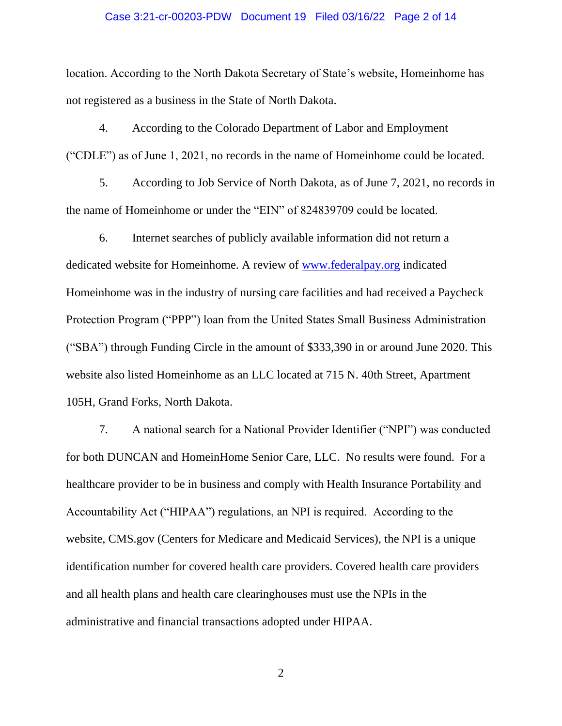#### Case 3:21-cr-00203-PDW Document 19 Filed 03/16/22 Page 2 of 14

location. According to the North Dakota Secretary of State's website, Homeinhome has not registered as a business in the State of North Dakota.

4. According to the Colorado Department of Labor and Employment ("CDLE") as of June 1, 2021, no records in the name of Homeinhome could be located.

5. According to Job Service of North Dakota, as of June 7, 2021, no records in the name of Homeinhome or under the "EIN" of 824839709 could be located.

6. Internet searches of publicly available information did not return a dedicated website for Homeinhome. A review of [www.federalpay.org](http://www.federalpay.org/) indicated Homeinhome was in the industry of nursing care facilities and had received a Paycheck Protection Program ("PPP") loan from the United States Small Business Administration ("SBA") through Funding Circle in the amount of \$333,390 in or around June 2020. This website also listed Homeinhome as an LLC located at 715 N. 40th Street, Apartment 105H, Grand Forks, North Dakota.

7. A national search for a National Provider Identifier ("NPI") was conducted for both DUNCAN and HomeinHome Senior Care, LLC. No results were found. For a healthcare provider to be in business and comply with Health Insurance Portability and Accountability Act ("HIPAA") regulations, an NPI is required. According to the website, CMS.gov (Centers for Medicare and Medicaid Services), the NPI is a unique identification number for covered health care providers. Covered health care providers and all health plans and health care clearinghouses must use the NPIs in the administrative and financial transactions adopted under HIPAA.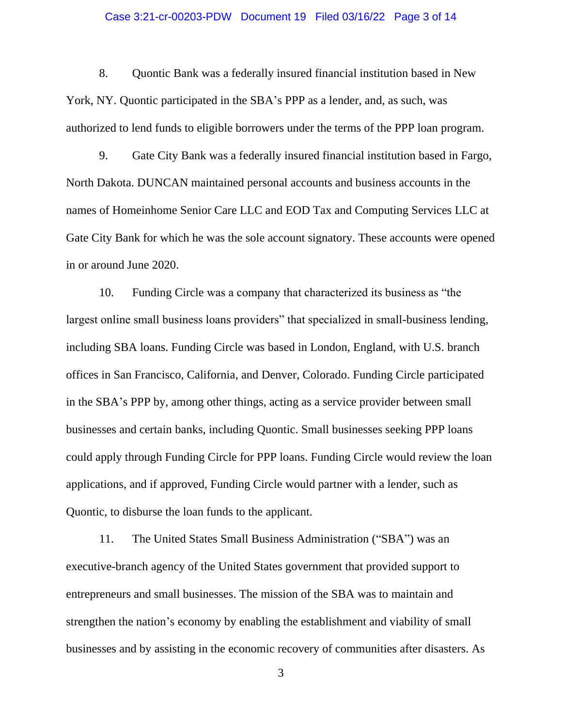#### Case 3:21-cr-00203-PDW Document 19 Filed 03/16/22 Page 3 of 14

8. Quontic Bank was a federally insured financial institution based in New York, NY. Quontic participated in the SBA's PPP as a lender, and, as such, was authorized to lend funds to eligible borrowers under the terms of the PPP loan program.

9. Gate City Bank was a federally insured financial institution based in Fargo, North Dakota. DUNCAN maintained personal accounts and business accounts in the names of Homeinhome Senior Care LLC and EOD Tax and Computing Services LLC at Gate City Bank for which he was the sole account signatory. These accounts were opened in or around June 2020.

10. Funding Circle was a company that characterized its business as "the largest online small business loans providers" that specialized in small-business lending, including SBA loans. Funding Circle was based in London, England, with U.S. branch offices in San Francisco, California, and Denver, Colorado. Funding Circle participated in the SBA's PPP by, among other things, acting as a service provider between small businesses and certain banks, including Quontic. Small businesses seeking PPP loans could apply through Funding Circle for PPP loans. Funding Circle would review the loan applications, and if approved, Funding Circle would partner with a lender, such as Quontic, to disburse the loan funds to the applicant.

11. The United States Small Business Administration ("SBA") was an executive-branch agency of the United States government that provided support to entrepreneurs and small businesses. The mission of the SBA was to maintain and strengthen the nation's economy by enabling the establishment and viability of small businesses and by assisting in the economic recovery of communities after disasters. As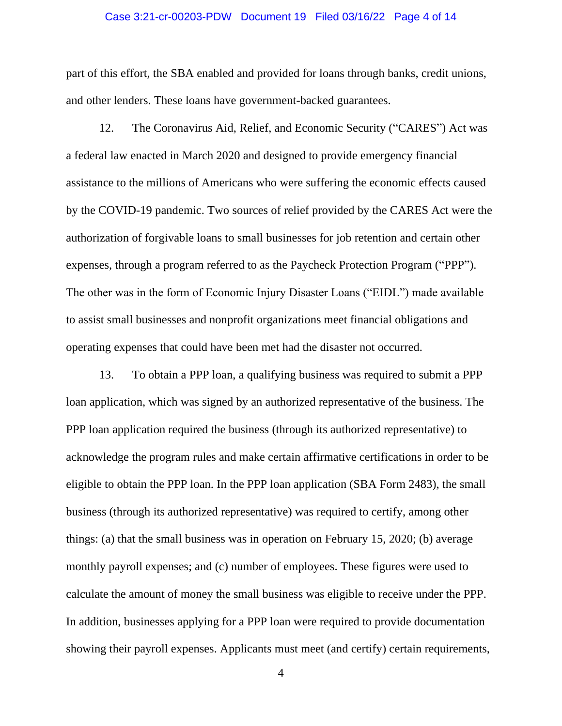#### Case 3:21-cr-00203-PDW Document 19 Filed 03/16/22 Page 4 of 14

part of this effort, the SBA enabled and provided for loans through banks, credit unions, and other lenders. These loans have government-backed guarantees.

12. The Coronavirus Aid, Relief, and Economic Security ("CARES") Act was a federal law enacted in March 2020 and designed to provide emergency financial assistance to the millions of Americans who were suffering the economic effects caused by the COVID-19 pandemic. Two sources of relief provided by the CARES Act were the authorization of forgivable loans to small businesses for job retention and certain other expenses, through a program referred to as the Paycheck Protection Program ("PPP"). The other was in the form of Economic Injury Disaster Loans ("EIDL") made available to assist small businesses and nonprofit organizations meet financial obligations and operating expenses that could have been met had the disaster not occurred.

13. To obtain a PPP loan, a qualifying business was required to submit a PPP loan application, which was signed by an authorized representative of the business. The PPP loan application required the business (through its authorized representative) to acknowledge the program rules and make certain affirmative certifications in order to be eligible to obtain the PPP loan. In the PPP loan application (SBA Form 2483), the small business (through its authorized representative) was required to certify, among other things: (a) that the small business was in operation on February 15, 2020; (b) average monthly payroll expenses; and (c) number of employees. These figures were used to calculate the amount of money the small business was eligible to receive under the PPP. In addition, businesses applying for a PPP loan were required to provide documentation showing their payroll expenses. Applicants must meet (and certify) certain requirements,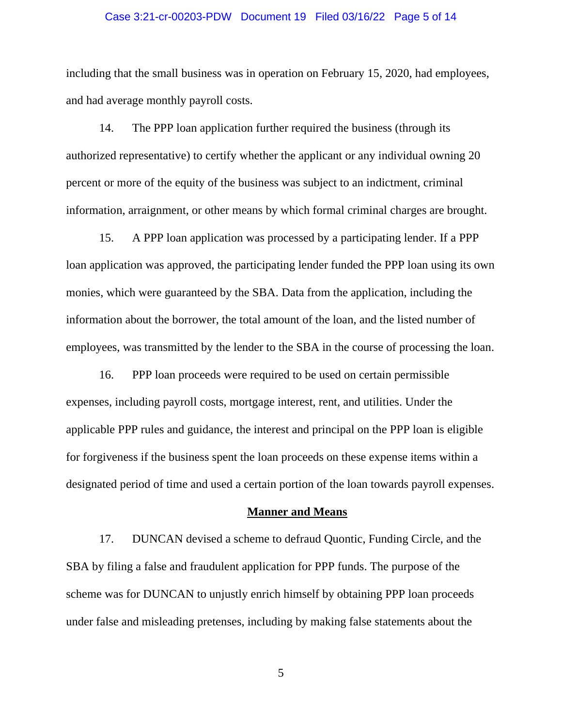#### Case 3:21-cr-00203-PDW Document 19 Filed 03/16/22 Page 5 of 14

including that the small business was in operation on February 15, 2020, had employees, and had average monthly payroll costs.

14. The PPP loan application further required the business (through its authorized representative) to certify whether the applicant or any individual owning 20 percent or more of the equity of the business was subject to an indictment, criminal information, arraignment, or other means by which formal criminal charges are brought.

15. A PPP loan application was processed by a participating lender. If a PPP loan application was approved, the participating lender funded the PPP loan using its own monies, which were guaranteed by the SBA. Data from the application, including the information about the borrower, the total amount of the loan, and the listed number of employees, was transmitted by the lender to the SBA in the course of processing the loan.

16. PPP loan proceeds were required to be used on certain permissible expenses, including payroll costs, mortgage interest, rent, and utilities. Under the applicable PPP rules and guidance, the interest and principal on the PPP loan is eligible for forgiveness if the business spent the loan proceeds on these expense items within a designated period of time and used a certain portion of the loan towards payroll expenses.

#### **Manner and Means**

17. DUNCAN devised a scheme to defraud Quontic, Funding Circle, and the SBA by filing a false and fraudulent application for PPP funds. The purpose of the scheme was for DUNCAN to unjustly enrich himself by obtaining PPP loan proceeds under false and misleading pretenses, including by making false statements about the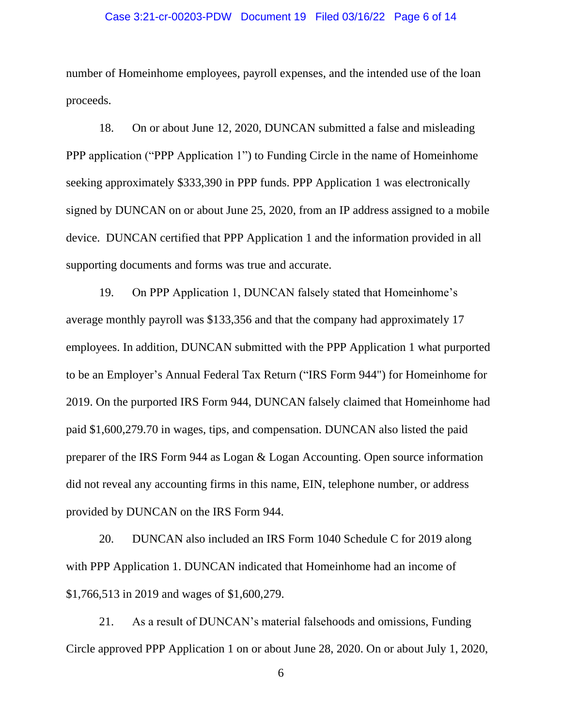#### Case 3:21-cr-00203-PDW Document 19 Filed 03/16/22 Page 6 of 14

number of Homeinhome employees, payroll expenses, and the intended use of the loan proceeds.

18. On or about June 12, 2020, DUNCAN submitted a false and misleading PPP application ("PPP Application 1") to Funding Circle in the name of Homeinhome seeking approximately \$333,390 in PPP funds. PPP Application 1 was electronically signed by DUNCAN on or about June 25, 2020, from an IP address assigned to a mobile device. DUNCAN certified that PPP Application 1 and the information provided in all supporting documents and forms was true and accurate.

19. On PPP Application 1, DUNCAN falsely stated that Homeinhome's average monthly payroll was \$133,356 and that the company had approximately 17 employees. In addition, DUNCAN submitted with the PPP Application 1 what purported to be an Employer's Annual Federal Tax Return ("IRS Form 944") for Homeinhome for 2019. On the purported IRS Form 944, DUNCAN falsely claimed that Homeinhome had paid \$1,600,279.70 in wages, tips, and compensation. DUNCAN also listed the paid preparer of the IRS Form 944 as Logan & Logan Accounting. Open source information did not reveal any accounting firms in this name, EIN, telephone number, or address provided by DUNCAN on the IRS Form 944.

20. DUNCAN also included an IRS Form 1040 Schedule C for 2019 along with PPP Application 1. DUNCAN indicated that Homeinhome had an income of \$1,766,513 in 2019 and wages of \$1,600,279.

21. As a result of DUNCAN's material falsehoods and omissions, Funding Circle approved PPP Application 1 on or about June 28, 2020. On or about July 1, 2020,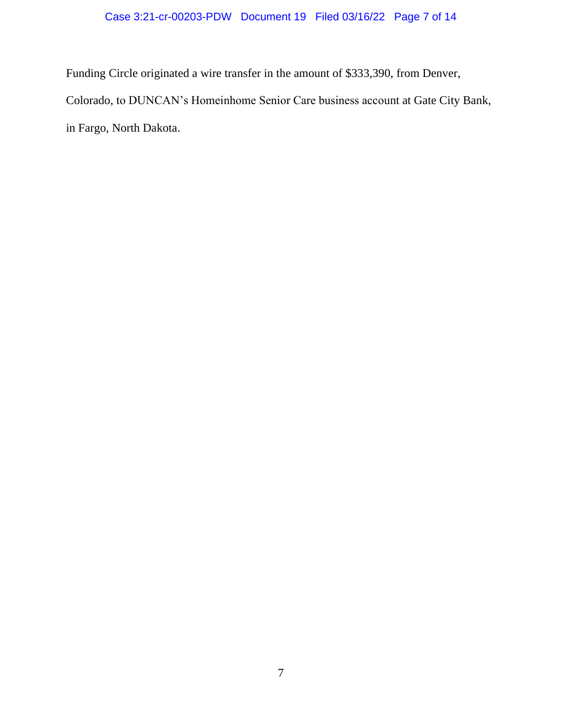# Case 3:21-cr-00203-PDW Document 19 Filed 03/16/22 Page 7 of 14

Funding Circle originated a wire transfer in the amount of \$333,390, from Denver,

Colorado, to DUNCAN's Homeinhome Senior Care business account at Gate City Bank,

in Fargo, North Dakota.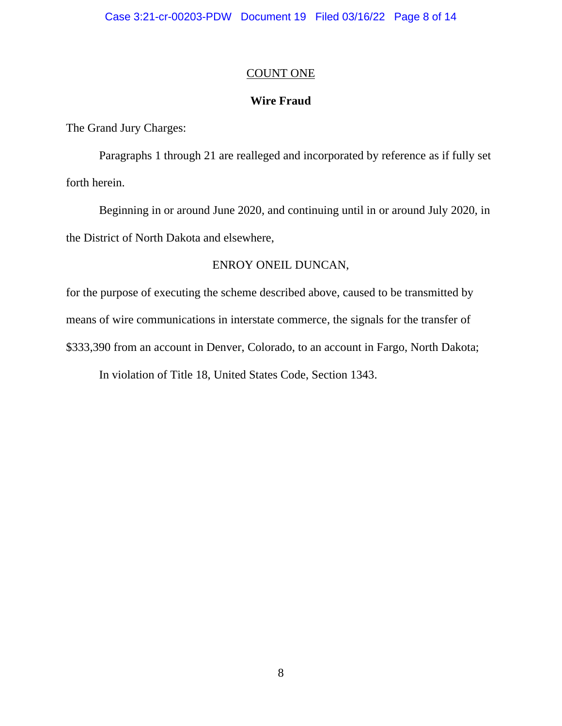## COUNT ONE

## **Wire Fraud**

The Grand Jury Charges:

Paragraphs 1 through 21 are realleged and incorporated by reference as if fully set forth herein.

Beginning in or around June 2020, and continuing until in or around July 2020, in the District of North Dakota and elsewhere,

## ENROY ONEIL DUNCAN,

for the purpose of executing the scheme described above, caused to be transmitted by means of wire communications in interstate commerce, the signals for the transfer of \$333,390 from an account in Denver, Colorado, to an account in Fargo, North Dakota;

In violation of Title 18, United States Code, Section 1343.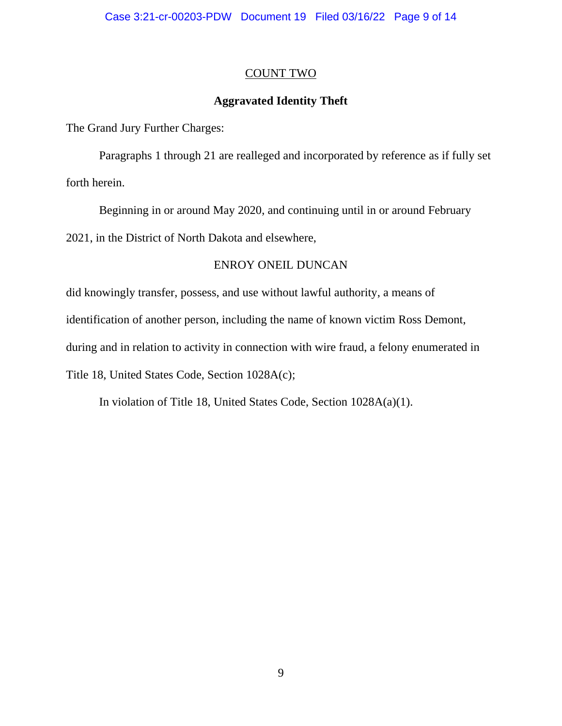## COUNT TWO

# **Aggravated Identity Theft**

The Grand Jury Further Charges:

Paragraphs 1 through 21 are realleged and incorporated by reference as if fully set forth herein.

Beginning in or around May 2020, and continuing until in or around February 2021, in the District of North Dakota and elsewhere,

## ENROY ONEIL DUNCAN

did knowingly transfer, possess, and use without lawful authority, a means of

identification of another person, including the name of known victim Ross Demont,

during and in relation to activity in connection with wire fraud, a felony enumerated in

Title 18, United States Code, Section 1028A(c);

In violation of Title 18, United States Code, Section 1028A(a)(1).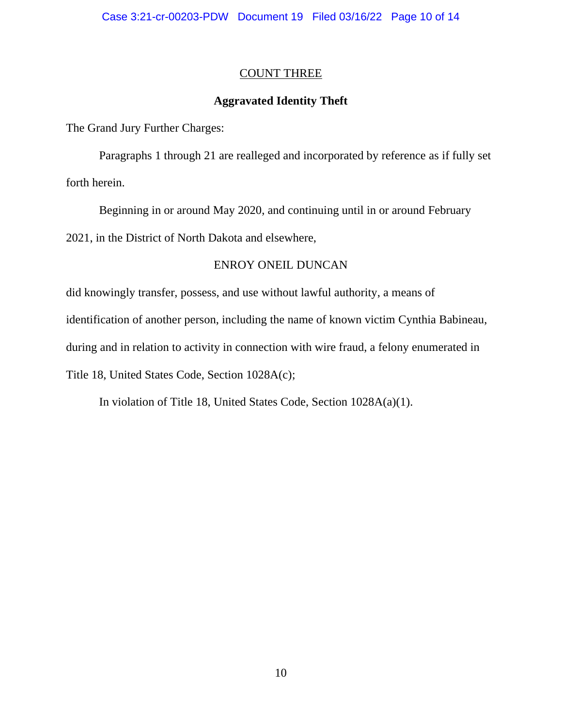## COUNT THREE

## **Aggravated Identity Theft**

The Grand Jury Further Charges:

Paragraphs 1 through 21 are realleged and incorporated by reference as if fully set forth herein.

Beginning in or around May 2020, and continuing until in or around February 2021, in the District of North Dakota and elsewhere,

## ENROY ONEIL DUNCAN

did knowingly transfer, possess, and use without lawful authority, a means of

identification of another person, including the name of known victim Cynthia Babineau,

during and in relation to activity in connection with wire fraud, a felony enumerated in

Title 18, United States Code, Section 1028A(c);

In violation of Title 18, United States Code, Section 1028A(a)(1).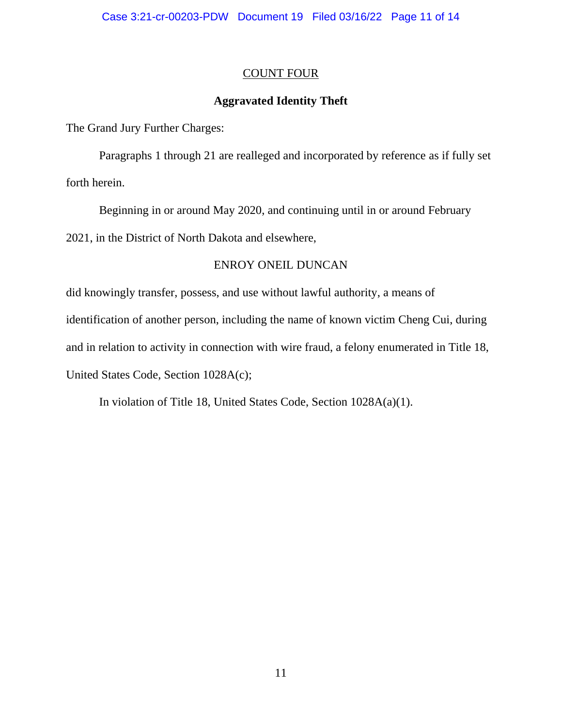## COUNT FOUR

# **Aggravated Identity Theft**

The Grand Jury Further Charges:

Paragraphs 1 through 21 are realleged and incorporated by reference as if fully set forth herein.

Beginning in or around May 2020, and continuing until in or around February 2021, in the District of North Dakota and elsewhere,

# ENROY ONEIL DUNCAN

did knowingly transfer, possess, and use without lawful authority, a means of identification of another person, including the name of known victim Cheng Cui, during and in relation to activity in connection with wire fraud, a felony enumerated in Title 18, United States Code, Section 1028A(c);

In violation of Title 18, United States Code, Section 1028A(a)(1).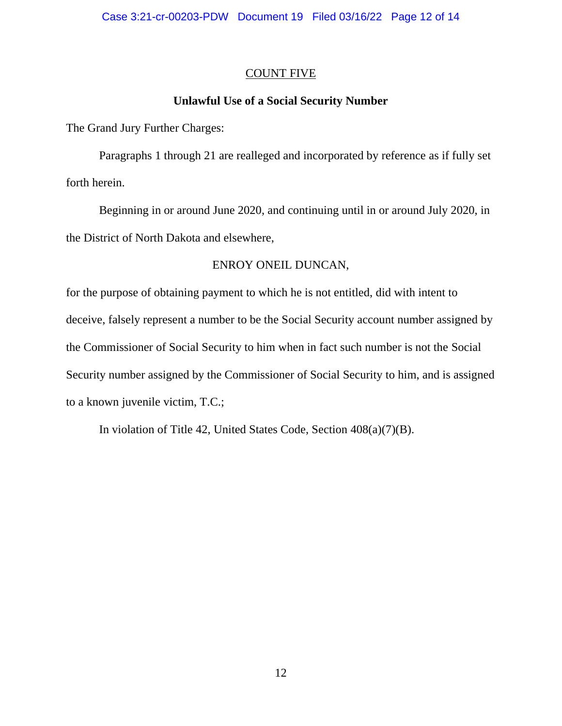## COUNT FIVE

# **Unlawful Use of a Social Security Number**

The Grand Jury Further Charges:

Paragraphs 1 through 21 are realleged and incorporated by reference as if fully set forth herein.

Beginning in or around June 2020, and continuing until in or around July 2020, in the District of North Dakota and elsewhere,

## ENROY ONEIL DUNCAN,

for the purpose of obtaining payment to which he is not entitled, did with intent to deceive, falsely represent a number to be the Social Security account number assigned by the Commissioner of Social Security to him when in fact such number is not the Social Security number assigned by the Commissioner of Social Security to him, and is assigned to a known juvenile victim, T.C.;

In violation of Title 42, United States Code, Section 408(a)(7)(B).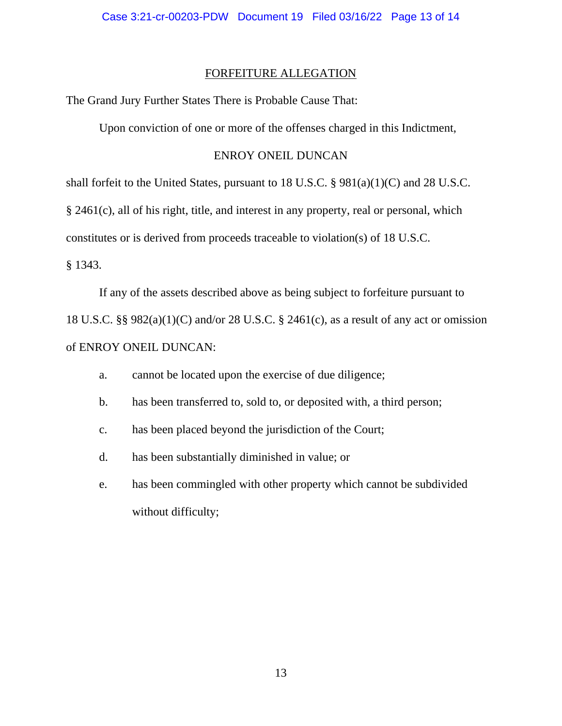### FORFEITURE ALLEGATION

The Grand Jury Further States There is Probable Cause That:

Upon conviction of one or more of the offenses charged in this Indictment,

## ENROY ONEIL DUNCAN

shall forfeit to the United States, pursuant to 18 U.S.C. § 981(a)(1)(C) and 28 U.S.C. § 2461(c), all of his right, title, and interest in any property, real or personal, which constitutes or is derived from proceeds traceable to violation(s) of 18 U.S.C.

§ 1343.

If any of the assets described above as being subject to forfeiture pursuant to 18 U.S.C. §§ 982(a)(1)(C) and/or 28 U.S.C. § 2461(c), as a result of any act or omission of ENROY ONEIL DUNCAN:

- a. cannot be located upon the exercise of due diligence;
- b. has been transferred to, sold to, or deposited with, a third person;
- c. has been placed beyond the jurisdiction of the Court;
- d. has been substantially diminished in value; or
- e. has been commingled with other property which cannot be subdivided without difficulty;